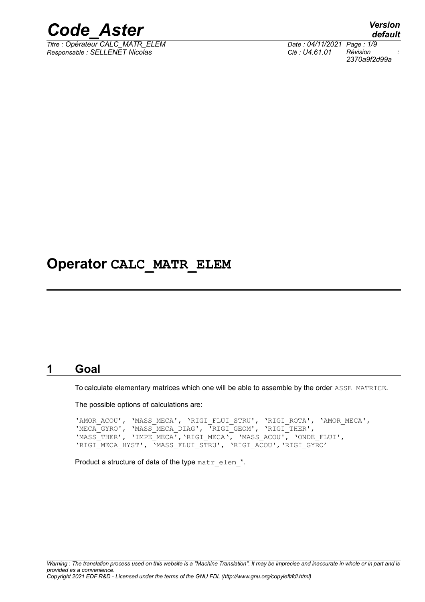

 $\overline{T}$ itre : Opérateur CALC\_MATR\_ELEM *Responsable : SELLENET Nicolas Clé : U4.61.01 Révision :*

*default 2370a9f2d99a*

### **Operator CALC\_MATR\_ELEM**

#### **1 Goal**

To calculate elementary matrices which one will be able to assemble by the order ASSE\_MATRICE.

The possible options of calculations are:

'AMOR\_ACOU', 'MASS\_MECA', 'RIGI\_FLUI\_STRU', 'RIGI\_ROTA', 'AMOR\_MECA', 'MECA\_GYRO', 'MASS\_MECA\_DIAG', 'RIGI\_GEOM', 'RIGI\_THER', 'MASS\_THER', 'IMPE\_MECA','RIGI\_MECA', 'MASS\_ACOU', 'ONDE\_FLUI', 'RIGI\_MECA\_HYST', 'MASS\_FLUI\_STRU', 'RIGI\_ACOU','RIGI\_GYRO'

Product a structure of data of the type matr elem<sup>\*</sup>.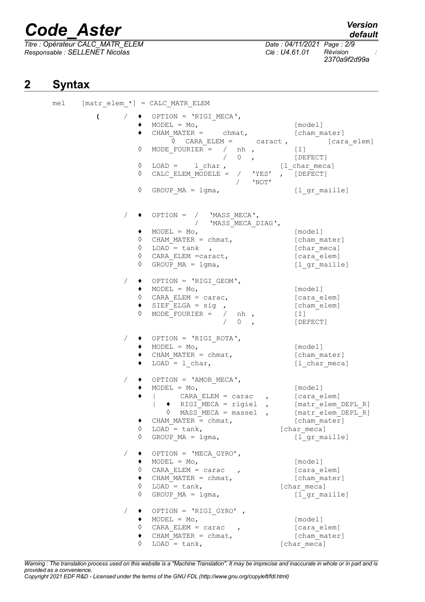*Titre : Opérateur CALC\_MATR\_ELEM Date : 04/11/2021 Page : 2/9 Responsable : SELLENET Nicolas Clé : U4.61.01 Révision :*

*2370a9f2d99a*

### **2 Syntax**

mel  $[matrix$ elem \*] = CALC MATR ELEM  $($  /  $\bullet$  OPTION = 'RIGI\_MECA',<br> $\bullet$  MODEL = Mo,  $\bullet$  MODEL = Mo, [model] **♦** CHAM\_MATER = chmat, [cham\_mater] ◊ CARA\_ELEM = caract , [cara\_elem]  $\Diamond$  MODE\_FOURIER = / nh , [I] / 0 , [DEFECT]  $\begin{array}{ccc} \cdot & \cdot & \cdot & \cdot & \cdot \\ \cdot & \cdot & \cdot & \cdot & \cdot \\ \cdot & \text{LOAD} = & 1 \text{ char} \text{ }, & \text{[1 char meca]} \end{array}$  $\Diamond$  CALC ELEM MODELE = / 'YES' , [DEFECT]  $/$  'NOT' ◊ GROUP\_MA = lgma, [l\_gr\_maille]  $/ \rightarrow$  OPTION =  $/$  'MASS MECA', / 'MASS MECA DIAG',  $\bullet$  MODEL = Mo,  $\qquad \qquad \overline{\qquad}$  [model] ◊ CHAM\_MATER = chmat, [cham\_mater]  $\sqrt{4}$  LOAD = tank , [char\_meca] ◊ CARA\_ELEM =caract, [cara\_elem]  $\sqrt{Q}$  GROUP MA = lgma,  $[1 \text{ gr}^{\text{small}}]$ / ♦ OPTION = 'RIGI\_GEOM',  $\bullet$  MODEL = Mo,  $[\text{model}]$ ◊ CARA\_ELEM = carac, [cara\_elem] ♦ SIEF\_ELGA = sig , [cham\_elem]  $\Diamond$  MODE FOURIER = / nh , [I] / 0 , [DEFECT] / ♦ OPTION = 'RIGI\_ROTA', ♦ MODEL = Mo, [model] ♦ CHAM\_MATER = chmat, [cham\_mater] ♦ LOAD = l\_char, [l\_char\_meca]  $/ \rightarrow$  OPTION = 'AMOR MECA', ♦ MODEL = Mo, [model] ♦ | CARA\_ELEM = carac , [cara\_elem] | ♦ RIGI\_MECA = rigiel , [matr\_elem\_DEPL\_R]  $\sqrt{max_{1} + max_{2}}$  and  $\sqrt{max_{2} + max_{1}}$ ♦ CHAM\_MATER = chmat, [cham\_mater]  $\sqrt{4}$  LOAD = tank, [char\_meca]  $\sqrt{2}$  GROUP MA = lgma,  $[1$ gr maille]  $\angle$   $\leftrightarrow$  OPTION = 'MECA GYRO',  $\bullet$  MODEL = Mo,  $\qquad \qquad$  [model] ◊ CARA\_ELEM = carac , [cara\_elem]  $\bullet$  CHAM MATER = chmat,  $[char]$  $\sqrt{LOAD}$  = tank, [char meca] ◊ GROUP\_MA = lgma, [l\_gr\_maille]  $\sqrt{ }$   $\bullet$  OPTION = 'RIGI GYRO' , ♦ MODEL = Mo, [model] ◊ CARA\_ELEM = carac , [cara\_elem]  $\bullet$  CHAM MATER = chmat,  $\bullet$  [cham\_mater] ◊ LOAD = tank, [char\_meca]

*Warning : The translation process used on this website is a "Machine Translation". It may be imprecise and inaccurate in whole or in part and is provided as a convenience. Copyright 2021 EDF R&D - Licensed under the terms of the GNU FDL (http://www.gnu.org/copyleft/fdl.html)*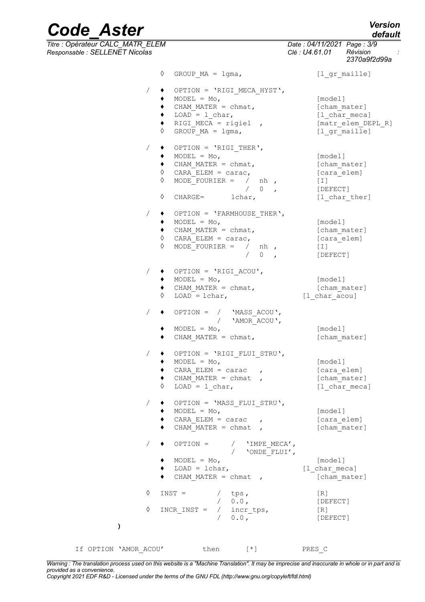*default*

*2370a9f2d99a*

### *Code\_Aster Version Titre : Opérateur CALC\_MATR\_ELEM Date : 04/11/2021 Page : 3/9 Responsable : SELLENET Nicolas Clé : U4.61.01 Révision :* ◊ GROUP\_MA = lgma, [l\_gr\_maille]

/ ♦ OPTION = 'RIGI\_MECA\_HYST',  $\bullet$  MODEL = Mo,  $\overline{\phantom{0}}$  = [model]  $\bullet$  CHAM MATER = chmat,  $[char]$ ◆ LOAD = l\_char, [l\_char\_meca]<br>◆ RIGI MECA = rigiel , [matr elem DEPL R]  $\begin{array}{ll}\n\bullet & \text{RIGI_MECA} = \text{rigiel} \\
\lozenge & \text{GROUP MA} = \text{lgma}, \\
\lozenge & \text{gl gr maille}\n\end{array}$  $\Diamond$  GROUP MA = lgma,  $/ \rightarrow$  OPTION = 'RIGI THER',  $\bullet$  MODEL = Mo,  $\qquad \qquad$  [model] ♦ CHAM\_MATER = chmat, [cham\_mater] ◊ CARA\_ELEM = carac, [cara\_elem]  $\Diamond$  MODE FOURIER = / nh , [I]  $\begin{array}{ccc}\n & 0 & , & [\text{DEFECT}] \\
\text{lchar,} & & [\text{1 char} & \end{array}$ ◊ CHARGE= lchar, [l\_char\_ther]  $/ \rightarrow$  OPTION = 'FARMHOUSE THER', ♦ MODEL = Mo, [model] ♦ CHAM\_MATER = chmat, [cham\_mater] ◊ CARA\_ELEM = carac, [cara\_elem]  $\begin{array}{cccc} \Diamond & \text{MODE\_FOURIER} = & / & \text{nh} & , & \text{[I]} \\ & & / & 0 & , & \text{[DE]} \end{array}$ [DEFECT] / ♦ OPTION = 'RIGI\_ACOU',  $\bullet$  MODEL = Mo,  $\qquad \qquad$  [model] ◆ CHAM\_MATER = chmat, [cham\_mater]<br>
0 LOAD = lchar, [l\_char\_acou]  $\sqrt{10AD} = \text{lchar}$ ,  $/$   $\leftrightarrow$  OPTION =  $/$  'MASS ACOU', / 'AMOR\_ACOU',  $\bullet$  MODEL = Mo,  $[\text{model}]$ ♦ CHAM\_MATER = chmat, [cham\_mater] / ♦ OPTION = 'RIGI\_FLUI\_STRU', ♦ MODEL = Mo, [model] ♦ CARA\_ELEM = carac , [cara\_elem]  $\bullet$  CHAM MATER = chmat ,  $[char]$  $\sqrt{LOAD} = 1$  char, [l char meca] / ♦ OPTION = 'MASS\_FLUI\_STRU', ♦ MODEL = Mo, [model]  $\bullet$  CARA ELEM = carac ,  $\bullet$  [cara elem]  $\bullet$  CHAM MATER = chmat , [cham mater]  $\angle$   $\leftrightarrow$  OPTION =  $\angle$  'IMPE\_MECA', / 'ONDE\_FLUI', ♦ MODEL = Mo, [model]  $LOAD = lchar,$  [l char meca]  $\bullet$  CHAM MATER = chmat ,  $\qquad \qquad$  [cham mater]  $\Diamond$  INST = / tps, [R] / 0.0 , [DEFECT]  $\Diamond$  INCR INST = / incr tps, [R] / 0.0 , [DEFECT] If OPTION 'AMOR ACOU' then  $\lceil$  \*] PRES C

*Warning : The translation process used on this website is a "Machine Translation". It may be imprecise and inaccurate in whole or in part and is provided as a convenience. Copyright 2021 EDF R&D - Licensed under the terms of the GNU FDL (http://www.gnu.org/copyleft/fdl.html)*

**)**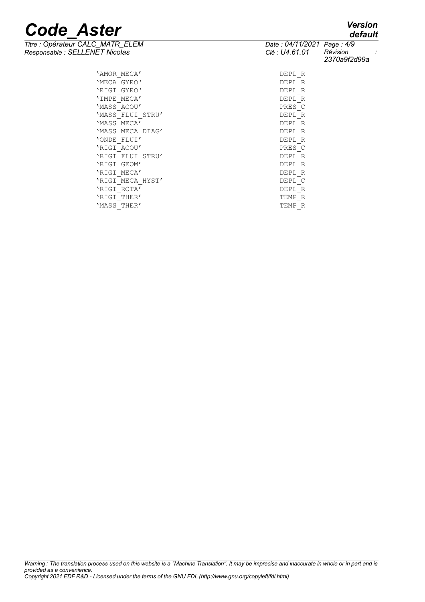# **Code\_Aster** *Version*<br>
Titre : Opérateur CALC\_MATR\_ELEM Date : 04/11/2021 Page : 4/9<br>
Personneable : SELLENET Nicolas CLA LU4.61.01 Révision :

*Titre : Opérateur CALC\_MATR\_ELEM Date : 04/11/2021 Page : 4/9*

| Responsable : SELLENET Nicolas | Clé : U4.61.01 | Révision<br>2370a9f2d99a |  |
|--------------------------------|----------------|--------------------------|--|
| 'AMOR MECA'                    | DEPL R         |                          |  |
| 'MECA GYRO'                    | DEPL R         |                          |  |
| 'RIGI GYRO'                    | DEPL R         |                          |  |
| 'IMPE MECA'                    | DEPL R         |                          |  |
| 'MASS ACOU'                    | PRES C         |                          |  |
| 'MASS FLUI STRU'               | DEPL R         |                          |  |
| 'MASS MECA'                    | DEPL R         |                          |  |
| 'MASS MECA DIAG'               | DEPL R         |                          |  |
| 'ONDE FLUI'                    | DEPL R         |                          |  |
| 'RIGI ACOU'                    | PRES C         |                          |  |
| 'RIGI FLUI STRU'               | DEPL R         |                          |  |
| 'RIGI GEOM'                    | DEPL R         |                          |  |
| 'RIGI MECA'                    | DEPL R         |                          |  |
| 'RIGI MECA HYST'               | DEPL C         |                          |  |
| 'RIGI ROTA'                    | DEPL R         |                          |  |
| 'RIGI THER'                    | TEMP R         |                          |  |
| 'MASS THER'                    | TEMP R         |                          |  |
|                                |                |                          |  |

## *default*

*2370a9f2d99a*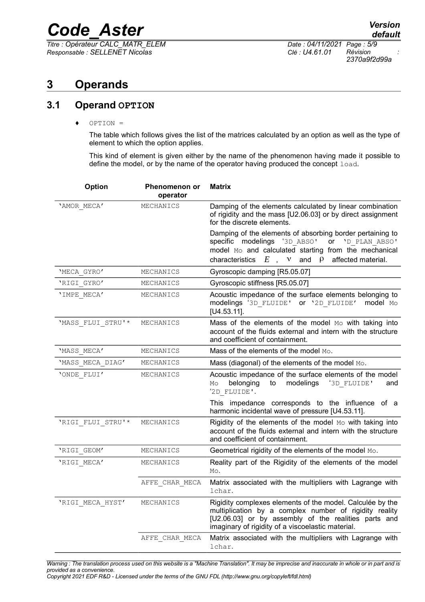*Titre : Opérateur CALC\_MATR\_ELEM Date : 04/11/2021 Page : 5/9 Responsable : SELLENET Nicolas Clé : U4.61.01 Révision :*

*2370a9f2d99a*

### **3 Operands**

#### **3.1 Operand OPTION**

♦ OPTION =

The table which follows gives the list of the matrices calculated by an option as well as the type of element to which the option applies.

This kind of element is given either by the name of the phenomenon having made it possible to define the model, or by the name of the operator having produced the concept load.

| Option            | Phenomenon or<br>operator | <b>Matrix</b>                                                                                                                                                                                                                                |
|-------------------|---------------------------|----------------------------------------------------------------------------------------------------------------------------------------------------------------------------------------------------------------------------------------------|
| 'AMOR MECA'       | MECHANICS                 | Damping of the elements calculated by linear combination<br>of rigidity and the mass [U2.06.03] or by direct assignment<br>for the discrete elements.                                                                                        |
|                   |                           | Damping of the elements of absorbing border pertaining to<br>specific modelings '3D ABSO'<br>ON 'D PLAN ABSO'<br>model Mo and calculated starting from the mechanical<br>affected material.<br>characteristics<br>$E$ , $v$<br>and<br>$\rho$ |
| 'MECA_GYRO'       | MECHANICS                 | Gyroscopic damping [R5.05.07]                                                                                                                                                                                                                |
| 'RIGI GYRO'       | MECHANICS                 | Gyroscopic stiffness [R5.05.07]                                                                                                                                                                                                              |
| 'IMPE MECA'       | MECHANICS                 | Acoustic impedance of the surface elements belonging to<br>modelings '3D FLUIDE'<br>Or '2D FLUIDE'<br>model Mo<br>$[U4.53.11]$ .                                                                                                             |
| 'MASS FLUI STRU'* | MECHANICS                 | Mass of the elements of the model Mo with taking into<br>account of the fluids external and intern with the structure<br>and coefficient of containment.                                                                                     |
| 'MASS MECA'       | MECHANICS                 | Mass of the elements of the model Mo.                                                                                                                                                                                                        |
| 'MASS_MECA_DIAG'  | MECHANICS                 | Mass (diagonal) of the elements of the model Mo.                                                                                                                                                                                             |
| 'ONDE FLUI'       | MECHANICS                 | Acoustic impedance of the surface elements of the model<br>belonging<br>modelings<br>'3D FLUIDE'<br>to<br>Mo<br>and<br>'2D FLUIDE'.                                                                                                          |
|                   |                           | This impedance corresponds to the influence of a<br>harmonic incidental wave of pressure [U4.53.11].                                                                                                                                         |
| 'RIGI FLUI STRU'* | MECHANICS                 | Rigidity of the elements of the model Mo with taking into<br>account of the fluids external and intern with the structure<br>and coefficient of containment.                                                                                 |
| 'RIGI GEOM'       | MECHANICS                 | Geometrical rigidity of the elements of the model Mo.                                                                                                                                                                                        |
| 'RIGI MECA'       | MECHANICS                 | Reality part of the Rigidity of the elements of the model<br>Mo.                                                                                                                                                                             |
|                   | AFFE CHAR MECA            | Matrix associated with the multipliers with Lagrange with<br>lchar.                                                                                                                                                                          |
| 'RIGI MECA HYST'  | MECHANICS                 | Rigidity complexes elements of the model. Calculée by the<br>multiplication by a complex number of rigidity reality<br>[U2.06.03] or by assembly of the realities parts and<br>imaginary of rigidity of a viscoelastic material.             |
|                   | AFFE CHAR MECA            | Matrix associated with the multipliers with Lagrange with<br>lchar.                                                                                                                                                                          |

*Warning : The translation process used on this website is a "Machine Translation". It may be imprecise and inaccurate in whole or in part and is provided as a convenience.*

*Copyright 2021 EDF R&D - Licensed under the terms of the GNU FDL (http://www.gnu.org/copyleft/fdl.html)*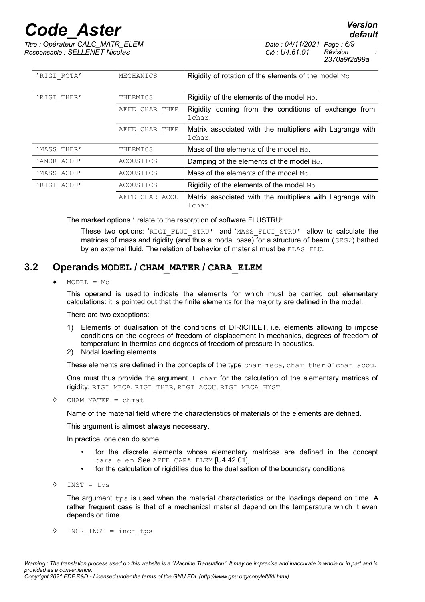*default*

*Titre : Opérateur CALC\_MATR\_ELEM Date : 04/11/2021 Page : 6/9 Responsable : SELLENET Nicolas Clé : U4.61.01 Révision :*

*2370a9f2d99a*

| 'RIGI ROTA' | MECHANICS      | Rigidity of rotation of the elements of the model Mo                |
|-------------|----------------|---------------------------------------------------------------------|
| 'RIGI THER' | THERMICS       | Rigidity of the elements of the model Mo.                           |
|             | AFFE CHAR THER | Rigidity coming from the conditions of exchange from<br>lchar.      |
|             | AFFE CHAR THER | Matrix associated with the multipliers with Lagrange with<br>lchar. |
| 'MASS THER' | THERMICS       | Mass of the elements of the model Mo.                               |
| 'AMOR ACOU' | ACOUSTICS      | Damping of the elements of the model Mo.                            |
| 'MASS ACOU' | ACOUSTICS      | Mass of the elements of the model $M_{\odot}$ .                     |
| 'RIGI ACOU' | ACOUSTICS      | Rigidity of the elements of the model Mo.                           |
|             | AFFE CHAR ACOU | Matrix associated with the multipliers with Lagrange with<br>lchar. |

The marked options \* relate to the resorption of software FLUSTRU:

These two options: 'RIGI\_FLUI\_STRU' and 'MASS\_FLUI\_STRU' allow to calculate the matrices of mass and rigidity (and thus a modal base) for a structure of beam (SEG2) bathed by an external fluid. The relation of behavior of material must be ELAS FLU.

#### **3.2 Operands MODEL / CHAM\_MATER / CARA\_ELEM**

 $MODEL = MO$ 

This operand is used to indicate the elements for which must be carried out elementary calculations: it is pointed out that the finite elements for the majority are defined in the model.

#### There are two exceptions:

- 1) Elements of dualisation of the conditions of DIRICHLET, i.e. elements allowing to impose conditions on the degrees of freedom of displacement in mechanics, degrees of freedom of temperature in thermics and degrees of freedom of pressure in acoustics.
- 2) Nodal loading elements.

These elements are defined in the concepts of the type char meca, char ther or char acou.

One must thus provide the argument  $1 \text{ char}$  for the calculation of the elementary matrices of rigidity: RIGI\_MECA, RIGI\_THER, RIGI\_ACOU, RIGI\_MECA\_HYST.

◊ CHAM\_MATER = chmat

Name of the material field where the characteristics of materials of the elements are defined.

This argument is **almost always necessary**.

In practice, one can do some:

- for the discrete elements whose elementary matrices are defined in the concept cara elem. See AFFE CARA ELEM [U4.42.01],
- for the calculation of rigidities due to the dualisation of the boundary conditions.
- ◊ INST = tps

The argument tps is used when the material characteristics or the loadings depend on time. A rather frequent case is that of a mechanical material depend on the temperature which it even depends on time.

◊ INCR\_INST = incr\_tps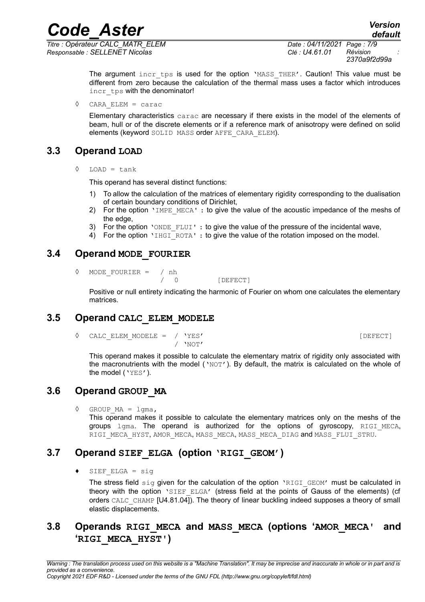*Code\_Aster Version Titre : Opérateur CALC\_MATR\_ELEM Date : 04/11/2021 Page : 7/9*

*Responsable : SELLENET Nicolas Clé : U4.61.01 Révision :*

*default 2370a9f2d99a*

The argument incr tps is used for the option 'MASS THER'. Caution! This value must be different from zero because the calculation of the thermal mass uses a factor which introduces incr\_tps with the denominator!

◊ CARA\_ELEM = carac

Elementary characteristics carac are necessary if there exists in the model of the elements of beam, hull or of the discrete elements or if a reference mark of anisotropy were defined on solid elements (keyword SOLID MASS order AFFE\_CARA\_ELEM).

#### **3.3 Operand LOAD**

◊ LOAD = tank

This operand has several distinct functions:

- 1) To allow the calculation of the matrices of elementary rigidity corresponding to the dualisation of certain boundary conditions of Dirichlet,
- 2) For the option 'IMPE\_MECA' : to give the value of the acoustic impedance of the meshs of the edge,
- 3) For the option 'ONDE  $FLUT$ : to give the value of the pressure of the incidental wave,
- 4) For the option  $\text{VHGI}$  ROTA' : to give the value of the rotation imposed on the model.

#### **3.4 Operand MODE\_FOURIER**

◊ MODE\_FOURIER = / nh

/ 0 [DEFECT]

Positive or null entirety indicating the harmonic of Fourier on whom one calculates the elementary matrices.

#### **3.5 Operand CALC\_ELEM\_MODELE**

◊ CALC\_ELEM\_MODELE = / 'YES' [DEFECT] / 'NOT'

This operand makes it possible to calculate the elementary matrix of rigidity only associated with the macronutrients with the model ( $'NOT'$ ). By default, the matrix is calculated on the whole of the model ('YES').

#### **3.6 Operand GROUP\_MA**

GROUP  $MA = 1$ gma,

This operand makes it possible to calculate the elementary matrices only on the meshs of the groups lgma. The operand is authorized for the options of gyroscopy, RIGI MECA, RIGI\_MECA\_HYST, AMOR\_MECA, MASS\_MECA, MASS\_MECA\_DIAG and MASS\_FLUI\_STRU.

#### **3.7 Operand SIEF\_ELGA (option 'RIGI\_GEOM')**

♦ SIEF\_ELGA = sig

The stress field  $\sin q$  given for the calculation of the option 'RIGI GEOM' must be calculated in theory with the option 'SIEF ELGA' (stress field at the points of Gauss of the elements) (cf orders CALC CHAMP [U4.81.04]). The theory of linear buckling indeed supposes a theory of small elastic displacements.

#### **3.8 Operands RIGI\_MECA and MASS\_MECA (options 'AMOR\_MECA' and 'RIGI\_MECA\_HYST')**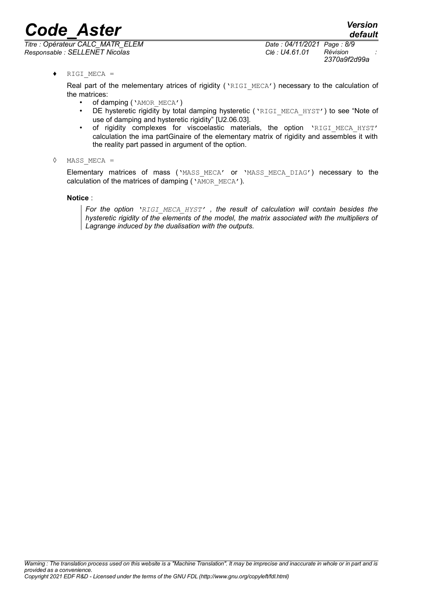*Titre : Opérateur CALC\_MATR\_ELEM Date : 04/11/2021 Page : 8/9 Responsable : SELLENET Nicolas Clé : U4.61.01 Révision :*

*2370a9f2d99a*

*default*

♦ RIGI\_MECA =

Real part of the melementary atrices of rigidity ('RIGI\_MECA') necessary to the calculation of the matrices:

- of damping ('AMOR\_MECA')
- DE hysteretic rigidity by total damping hysteretic ('RIGI\_MECA\_HYST') to see "Note of use of damping and hysteretic rigidity" [U2.06.03].
- of rigidity complexes for viscoelastic materials, the option 'RIGI MECA HYST' calculation the ima partGinaire of the elementary matrix of rigidity and assembles it with the reality part passed in argument of the option.
- ◊ MASS\_MECA =

Elementary matrices of mass ('MASS MECA' or 'MASS MECA DIAG') necessary to the calculation of the matrices of damping ( $\sqrt{\text{AMOR-MECA'}}$ ).

#### **Notice** :

*For the option 'RIGI\_MECA\_HYST' , the result of calculation will contain besides the hysteretic rigidity of the elements of the model, the matrix associated with the multipliers of Lagrange induced by the dualisation with the outputs.*